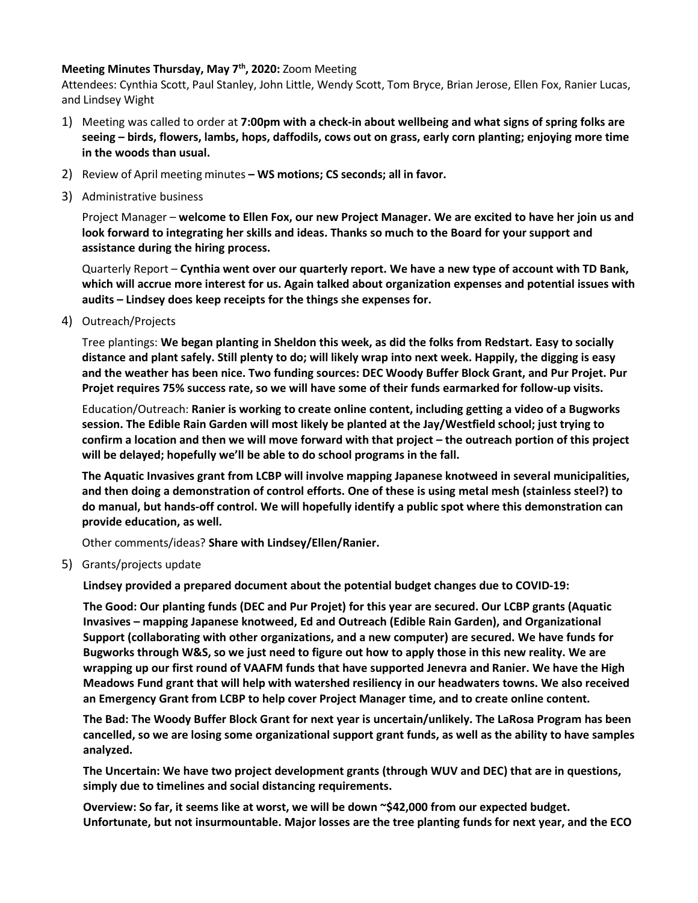## **Meeting Minutes Thursday, May 7th, 2020:** Zoom Meeting

Attendees: Cynthia Scott, Paul Stanley, John Little, Wendy Scott, Tom Bryce, Brian Jerose, Ellen Fox, Ranier Lucas, and Lindsey Wight

- 1) Meeting was called to order at **7:00pm with a check-in about wellbeing and what signs of spring folks are seeing – birds, flowers, lambs, hops, daffodils, cows out on grass, early corn planting; enjoying more time in the woods than usual.**
- 2) Review of April meeting minutes **– WS motions; CS seconds; all in favor.**
- 3) Administrative business

Project Manager – **welcome to Ellen Fox, our new Project Manager. We are excited to have her join us and look forward to integrating her skills and ideas. Thanks so much to the Board for your support and assistance during the hiring process.** 

Quarterly Report – **Cynthia went over our quarterly report. We have a new type of account with TD Bank, which will accrue more interest for us. Again talked about organization expenses and potential issues with audits – Lindsey does keep receipts for the things she expenses for.** 

4) Outreach/Projects

Tree plantings: **We began planting in Sheldon this week, as did the folks from Redstart. Easy to socially distance and plant safely. Still plenty to do; will likely wrap into next week. Happily, the digging is easy and the weather has been nice. Two funding sources: DEC Woody Buffer Block Grant, and Pur Projet. Pur Projet requires 75% success rate, so we will have some of their funds earmarked for follow-up visits.** 

Education/Outreach: **Ranier is working to create online content, including getting a video of a Bugworks session. The Edible Rain Garden will most likely be planted at the Jay/Westfield school; just trying to confirm a location and then we will move forward with that project – the outreach portion of this project will be delayed; hopefully we'll be able to do school programs in the fall.** 

**The Aquatic Invasives grant from LCBP will involve mapping Japanese knotweed in several municipalities, and then doing a demonstration of control efforts. One of these is using metal mesh (stainless steel?) to do manual, but hands-off control. We will hopefully identify a public spot where this demonstration can provide education, as well.**

Other comments/ideas? **Share with Lindsey/Ellen/Ranier.**

5) Grants/projects update

**Lindsey provided a prepared document about the potential budget changes due to COVID-19:** 

**The Good: Our planting funds (DEC and Pur Projet) for this year are secured. Our LCBP grants (Aquatic Invasives – mapping Japanese knotweed, Ed and Outreach (Edible Rain Garden), and Organizational Support (collaborating with other organizations, and a new computer) are secured. We have funds for Bugworks through W&S, so we just need to figure out how to apply those in this new reality. We are wrapping up our first round of VAAFM funds that have supported Jenevra and Ranier. We have the High Meadows Fund grant that will help with watershed resiliency in our headwaters towns. We also received an Emergency Grant from LCBP to help cover Project Manager time, and to create online content.**

**The Bad: The Woody Buffer Block Grant for next year is uncertain/unlikely. The LaRosa Program has been cancelled, so we are losing some organizational support grant funds, as well as the ability to have samples analyzed.**

**The Uncertain: We have two project development grants (through WUV and DEC) that are in questions, simply due to timelines and social distancing requirements.**

**Overview: So far, it seems like at worst, we will be down ~\$42,000 from our expected budget. Unfortunate, but not insurmountable. Major losses are the tree planting funds for next year, and the ECO**